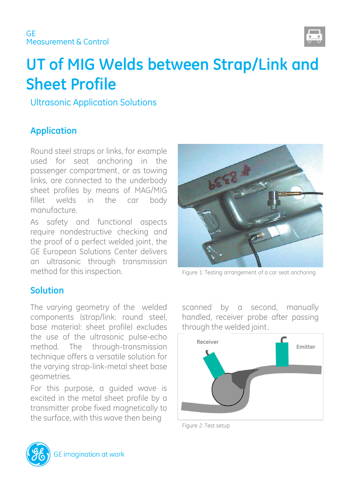

# **UT of MIG Welds between Strap/Link and Sheet Profile**

Ultrasonic Application Solutions

# **Application**

Round steel straps or links, for example used for seat anchoring in the passenger compartment, or as towing links, are connected to the underbody sheet profiles by means of MAG/MIG fillet welds in the car body manufacture.

As safety and functional aspects require nondestructive checking and the proof of a perfect welded joint, the GE European Solutions Center delivers an ultrasonic through transmission method for this inspection. Figure 1: Testing arrangement of a car seat anchoring

## **Solution**

The varying geometry of the welded components (strap/link: round steel, base material: sheet profile) excludes the use of the ultrasonic pulse-echo method. The through-transmission technique offers a versatile solution for the varying strap-link-metal sheet base geometries.

For this purpose, a guided wave is excited in the metal sheet profile by a transmitter probe fixed magnetically to the surface, with this wave then being



scanned by a second, manually handled, receiver probe after passing through the welded joint.



Figure 2: Test setup